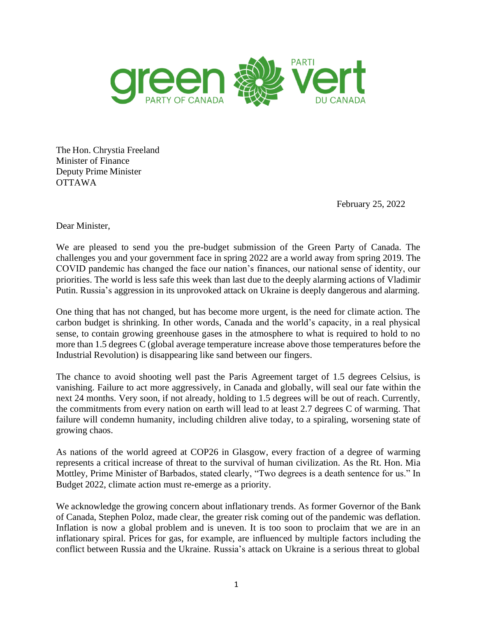

The Hon. Chrystia Freeland Minister of Finance Deputy Prime Minister OTTAWA

February 25, 2022

Dear Minister,

We are pleased to send you the pre-budget submission of the Green Party of Canada. The challenges you and your government face in spring 2022 are a world away from spring 2019. The COVID pandemic has changed the face our nation's finances, our national sense of identity, our priorities. The world is less safe this week than last due to the deeply alarming actions of Vladimir Putin. Russia's aggression in its unprovoked attack on Ukraine is deeply dangerous and alarming.

One thing that has not changed, but has become more urgent, is the need for climate action. The carbon budget is shrinking. In other words, Canada and the world's capacity, in a real physical sense, to contain growing greenhouse gases in the atmosphere to what is required to hold to no more than 1.5 degrees C (global average temperature increase above those temperatures before the Industrial Revolution) is disappearing like sand between our fingers.

The chance to avoid shooting well past the Paris Agreement target of 1.5 degrees Celsius, is vanishing. Failure to act more aggressively, in Canada and globally, will seal our fate within the next 24 months. Very soon, if not already, holding to 1.5 degrees will be out of reach. Currently, the commitments from every nation on earth will lead to at least 2.7 degrees C of warming. That failure will condemn humanity, including children alive today, to a spiraling, worsening state of growing chaos.

As nations of the world agreed at COP26 in Glasgow, every fraction of a degree of warming represents a critical increase of threat to the survival of human civilization. As the Rt. Hon. Mia Mottley, Prime Minister of Barbados, stated clearly, "Two degrees is a death sentence for us." In Budget 2022, climate action must re-emerge as a priority.

We acknowledge the growing concern about inflationary trends. As former Governor of the Bank of Canada, Stephen Poloz, made clear, the greater risk coming out of the pandemic was deflation. Inflation is now a global problem and is uneven. It is too soon to proclaim that we are in an inflationary spiral. Prices for gas, for example, are influenced by multiple factors including the conflict between Russia and the Ukraine. Russia's attack on Ukraine is a serious threat to global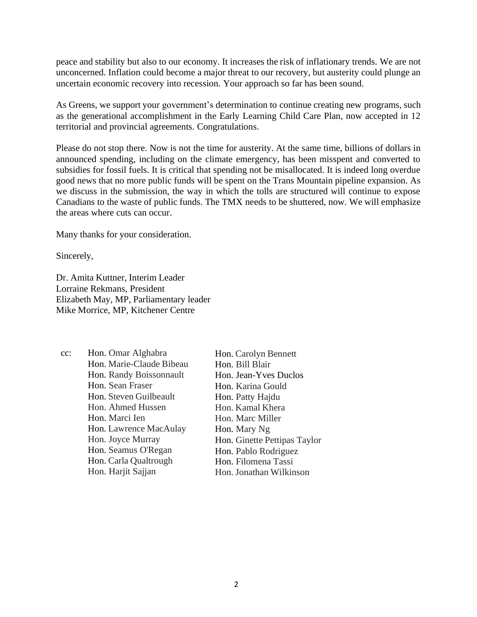peace and stability but also to our economy. It increases the risk of inflationary trends. We are not unconcerned. Inflation could become a major threat to our recovery, but austerity could plunge an uncertain economic recovery into recession. Your approach so far has been sound.

As Greens, we support your government's determination to continue creating new programs, such as the generational accomplishment in the Early Learning Child Care Plan, now accepted in 12 territorial and provincial agreements. Congratulations.

Please do not stop there. Now is not the time for austerity. At the same time, billions of dollars in announced spending, including on the climate emergency, has been misspent and converted to subsidies for fossil fuels. It is critical that spending not be misallocated. It is indeed long overdue good news that no more public funds will be spent on the Trans Mountain pipeline expansion. As we discuss in the submission, the way in which the tolls are structured will continue to expose Canadians to the waste of public funds. The TMX needs to be shuttered, now. We will emphasize the areas where cuts can occur.

Many thanks for your consideration.

Sincerely,

Dr. Amita Kuttner, Interim Leader Lorraine Rekmans, President Elizabeth May, MP, Parliamentary leader Mike Morrice, MP, Kitchener Centre

| cc: | Hon. Omar Alghabra       | Hon. Carolyn Bennett         |
|-----|--------------------------|------------------------------|
|     | Hon. Marie-Claude Bibeau | Hon. Bill Blair              |
|     | Hon. Randy Boissonnault  | Hon. Jean-Yves Duclos        |
|     | Hon. Sean Fraser         | Hon. Karina Gould            |
|     | Hon. Steven Guilbeault   | Hon. Patty Hajdu             |
|     | Hon. Ahmed Hussen        | Hon. Kamal Khera             |
|     | Hon. Marci Ien           | Hon. Marc Miller             |
|     | Hon. Lawrence MacAulay   | Hon. Mary Ng                 |
|     | Hon. Joyce Murray        | Hon. Ginette Pettipas Taylor |
|     | Hon. Seamus O'Regan      | Hon. Pablo Rodriguez         |
|     | Hon. Carla Qualtrough    | Hon. Filomena Tassi          |
|     | Hon. Harjit Sajjan       | Hon. Jonathan Wilkinson      |
|     |                          |                              |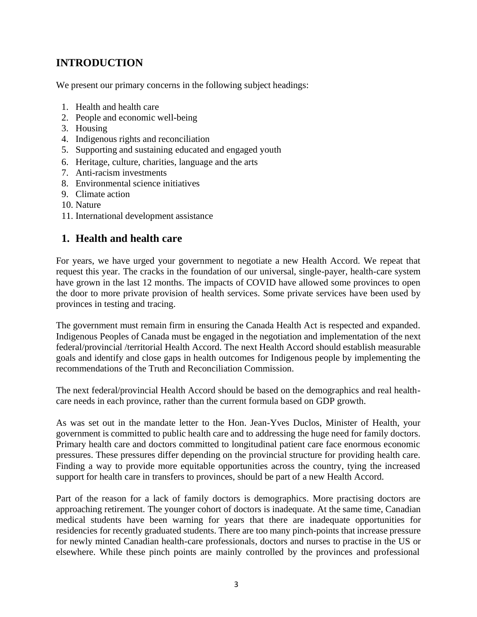# **INTRODUCTION**

We present our primary concerns in the following subject headings:

- 1. Health and health care
- 2. People and economic well-being
- 3. Housing
- 4. Indigenous rights and reconciliation
- 5. Supporting and sustaining educated and engaged youth
- 6. Heritage, culture, charities, language and the arts
- 7. Anti-racism investments
- 8. Environmental science initiatives
- 9. Climate action
- 10. Nature
- 11. International development assistance

## **1. Health and health care**

For years, we have urged your government to negotiate a new Health Accord. We repeat that request this year. The cracks in the foundation of our universal, single-payer, health-care system have grown in the last 12 months. The impacts of COVID have allowed some provinces to open the door to more private provision of health services. Some private services have been used by provinces in testing and tracing.

The government must remain firm in ensuring the Canada Health Act is respected and expanded. Indigenous Peoples of Canada must be engaged in the negotiation and implementation of the next federal/provincial /territorial Health Accord. The next Health Accord should establish measurable goals and identify and close gaps in health outcomes for Indigenous people by implementing the recommendations of the Truth and Reconciliation Commission.

The next federal/provincial Health Accord should be based on the demographics and real healthcare needs in each province, rather than the current formula based on GDP growth.

As was set out in the mandate letter to the Hon. Jean-Yves Duclos, Minister of Health, your government is committed to public health care and to addressing the huge need for family doctors. Primary health care and doctors committed to longitudinal patient care face enormous economic pressures. These pressures differ depending on the provincial structure for providing health care. Finding a way to provide more equitable opportunities across the country, tying the increased support for health care in transfers to provinces, should be part of a new Health Accord.

Part of the reason for a lack of family doctors is demographics. More practising doctors are approaching retirement. The younger cohort of doctors is inadequate. At the same time, Canadian medical students have been warning for years that there are inadequate opportunities for residencies for recently graduated students. There are too many pinch-points that increase pressure for newly minted Canadian health-care professionals, doctors and nurses to practise in the US or elsewhere. While these pinch points are mainly controlled by the provinces and professional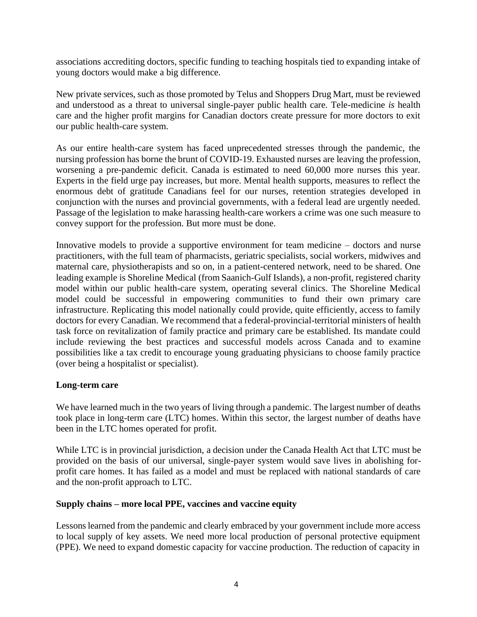associations accrediting doctors, specific funding to teaching hospitals tied to expanding intake of young doctors would make a big difference.

New private services, such as those promoted by Telus and Shoppers Drug Mart, must be reviewed and understood as a threat to universal single-payer public health care. Tele-medicine *is* health care and the higher profit margins for Canadian doctors create pressure for more doctors to exit our public health-care system.

As our entire health-care system has faced unprecedented stresses through the pandemic, the nursing profession has borne the brunt of COVID-19. Exhausted nurses are leaving the profession, worsening a pre-pandemic deficit. Canada is estimated to need 60,000 more nurses this year. Experts in the field urge pay increases, but more. Mental health supports, measures to reflect the enormous debt of gratitude Canadians feel for our nurses, retention strategies developed in conjunction with the nurses and provincial governments, with a federal lead are urgently needed. Passage of the legislation to make harassing health-care workers a crime was one such measure to convey support for the profession. But more must be done.

Innovative models to provide a supportive environment for team medicine – doctors and nurse practitioners, with the full team of pharmacists, geriatric specialists, social workers, midwives and maternal care, physiotherapists and so on, in a patient-centered network, need to be shared. One leading example is Shoreline Medical (from Saanich-Gulf Islands), a non-profit, registered charity model within our public health-care system, operating several clinics. The Shoreline Medical model could be successful in empowering communities to fund their own primary care infrastructure. Replicating this model nationally could provide, quite efficiently, access to family doctors for every Canadian. We recommend that a federal-provincial-territorial ministers of health task force on revitalization of family practice and primary care be established. Its mandate could include reviewing the best practices and successful models across Canada and to examine possibilities like a tax credit to encourage young graduating physicians to choose family practice (over being a hospitalist or specialist).

## **Long-term care**

We have learned much in the two years of living through a pandemic. The largest number of deaths took place in long-term care (LTC) homes. Within this sector, the largest number of deaths have been in the LTC homes operated for profit.

While LTC is in provincial jurisdiction, a decision under the Canada Health Act that LTC must be provided on the basis of our universal, single-payer system would save lives in abolishing forprofit care homes. It has failed as a model and must be replaced with national standards of care and the non-profit approach to LTC.

### **Supply chains – more local PPE, vaccines and vaccine equity**

Lessons learned from the pandemic and clearly embraced by your government include more access to local supply of key assets. We need more local production of personal protective equipment (PPE). We need to expand domestic capacity for vaccine production. The reduction of capacity in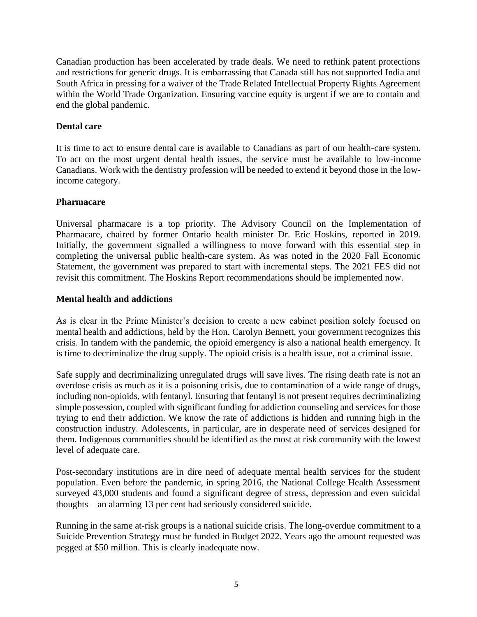Canadian production has been accelerated by trade deals. We need to rethink patent protections and restrictions for generic drugs. It is embarrassing that Canada still has not supported India and South Africa in pressing for a waiver of the Trade Related Intellectual Property Rights Agreement within the World Trade Organization. Ensuring vaccine equity is urgent if we are to contain and end the global pandemic.

## **Dental care**

It is time to act to ensure dental care is available to Canadians as part of our health-care system. To act on the most urgent dental health issues, the service must be available to low-income Canadians. Work with the dentistry profession will be needed to extend it beyond those in the lowincome category.

## **Pharmacare**

Universal pharmacare is a top priority. The Advisory Council on the Implementation of Pharmacare, chaired by former Ontario health minister Dr. Eric Hoskins, reported in 2019. Initially, the government signalled a willingness to move forward with this essential step in completing the universal public health-care system. As was noted in the 2020 Fall Economic Statement, the government was prepared to start with incremental steps. The 2021 FES did not revisit this commitment. The Hoskins Report recommendations should be implemented now.

### **Mental health and addictions**

As is clear in the Prime Minister's decision to create a new cabinet position solely focused on mental health and addictions, held by the Hon. Carolyn Bennett, your government recognizes this crisis. In tandem with the pandemic, the opioid emergency is also a national health emergency. It is time to decriminalize the drug supply. The opioid crisis is a health issue, not a criminal issue.

Safe supply and decriminalizing unregulated drugs will save lives. The rising death rate is not an overdose crisis as much as it is a poisoning crisis, due to contamination of a wide range of drugs, including non-opioids, with fentanyl. Ensuring that fentanyl is not present requires decriminalizing simple possession, coupled with significant funding for addiction counseling and services for those trying to end their addiction. We know the rate of addictions is hidden and running high in the construction industry. Adolescents, in particular, are in desperate need of services designed for them. Indigenous communities should be identified as the most at risk community with the lowest level of adequate care.

Post-secondary institutions are in dire need of adequate mental health services for the student population. Even before the pandemic, in spring 2016, the National College Health Assessment surveyed 43,000 students and found a significant degree of stress, depression and even suicidal thoughts – an alarming 13 per cent had seriously considered suicide.

Running in the same at-risk groups is a national suicide crisis. The long-overdue commitment to a Suicide Prevention Strategy must be funded in Budget 2022. Years ago the amount requested was pegged at \$50 million. This is clearly inadequate now.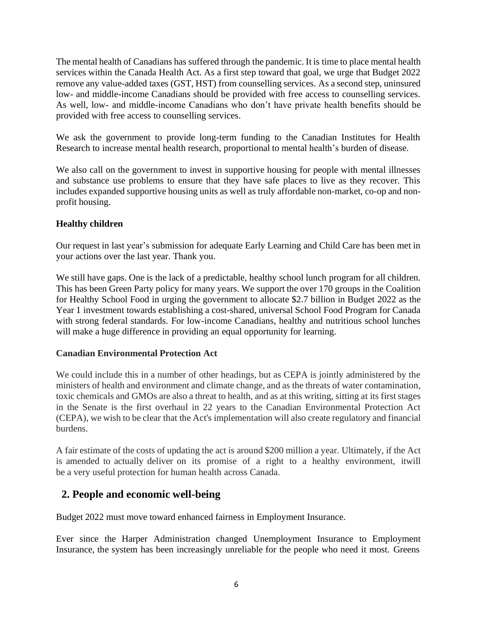The mental health of Canadians has suffered through the pandemic. It is time to place mental health services within the Canada Health Act. As a first step toward that goal, we urge that Budget 2022 remove any value-added taxes (GST, HST) from counselling services. As a second step, uninsured low- and middle-income Canadians should be provided with free access to counselling services. As well, low- and middle-income Canadians who don't have private health benefits should be provided with free access to counselling services.

We ask the government to provide long-term funding to the Canadian Institutes for Health Research to increase mental health research, proportional to mental health's burden of disease.

We also call on the government to invest in supportive housing for people with mental illnesses and substance use problems to ensure that they have safe places to live as they recover. This includes expanded supportive housing units as well as truly affordable non-market, co-op and nonprofit housing.

## **Healthy children**

Our request in last year's submission for adequate Early Learning and Child Care has been met in your actions over the last year. Thank you.

We still have gaps. One is the lack of a predictable, healthy school lunch program for all children. This has been Green Party policy for many years. We support the over 170 groups in the Coalition for Healthy School Food in urging the government to allocate \$2.7 billion in Budget 2022 as the Year 1 investment towards establishing a cost-shared, universal School Food Program for Canada with strong federal standards. For low-income Canadians, healthy and nutritious school lunches will make a huge difference in providing an equal opportunity for learning.

## **Canadian Environmental Protection Act**

We could include this in a number of other headings, but as CEPA is jointly administered by the ministers of health and environment and climate change, and as the threats of water contamination, toxic chemicals and GMOs are also a threat to health, and as at this writing, sitting at its first stages in the Senate is the first overhaul in 22 years to the Canadian Environmental Protection Act (CEPA), we wish to be clear that the Act's implementation will also create regulatory and financial burdens.

A fair estimate of the costs of updating the act is around \$200 million a year. Ultimately, if the Act is amended to actually deliver on its promise of a right to a healthy environment, itwill be a very useful protection for human health across Canada.

## **2. People and economic well-being**

Budget 2022 must move toward enhanced fairness in Employment Insurance.

Ever since the Harper Administration changed Unemployment Insurance to Employment Insurance, the system has been increasingly unreliable for the people who need it most. Greens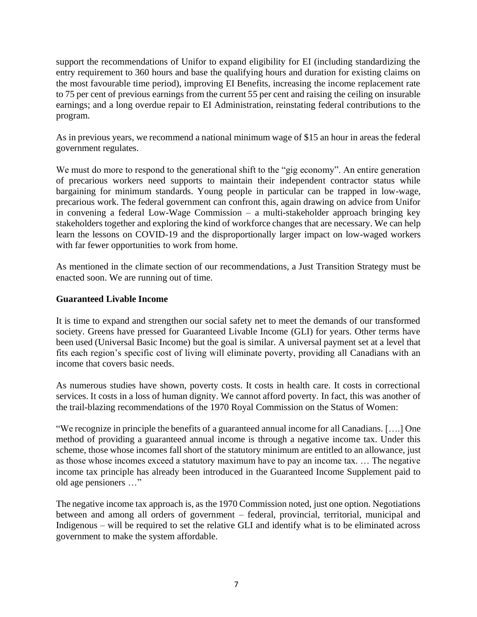support the recommendations of Unifor to expand eligibility for EI (including standardizing the entry requirement to 360 hours and base the qualifying hours and duration for existing claims on the most favourable time period), improving EI Benefits, increasing the income replacement rate to 75 per cent of previous earnings from the current 55 per cent and raising the ceiling on insurable earnings; and a long overdue repair to EI Administration, reinstating federal contributions to the program.

As in previous years, we recommend a national minimum wage of \$15 an hour in areas the federal government regulates.

We must do more to respond to the generational shift to the "gig economy". An entire generation of precarious workers need supports to maintain their independent contractor status while bargaining for minimum standards. Young people in particular can be trapped in low-wage, precarious work. The federal government can confront this, again drawing on advice from Unifor in convening a federal Low-Wage Commission – a multi-stakeholder approach bringing key stakeholders together and exploring the kind of workforce changes that are necessary. We can help learn the lessons on COVID-19 and the disproportionally larger impact on low-waged workers with far fewer opportunities to work from home.

As mentioned in the climate section of our recommendations, a Just Transition Strategy must be enacted soon. We are running out of time.

## **Guaranteed Livable Income**

It is time to expand and strengthen our social safety net to meet the demands of our transformed society. Greens have pressed for Guaranteed Livable Income (GLI) for years. Other terms have been used (Universal Basic Income) but the goal is similar. A universal payment set at a level that fits each region's specific cost of living will eliminate poverty, providing all Canadians with an income that covers basic needs.

As numerous studies have shown, poverty costs. It costs in health care. It costs in correctional services. It costs in a loss of human dignity. We cannot afford poverty. In fact, this was another of the trail-blazing recommendations of the 1970 Royal Commission on the Status of Women:

"We recognize in principle the benefits of a guaranteed annual income for all Canadians. [….] One method of providing a guaranteed annual income is through a negative income tax. Under this scheme, those whose incomes fall short of the statutory minimum are entitled to an allowance, just as those whose incomes exceed a statutory maximum have to pay an income tax. … The negative income tax principle has already been introduced in the Guaranteed Income Supplement paid to old age pensioners …"

The negative income tax approach is, as the 1970 Commission noted, just one option. Negotiations between and among all orders of government – federal, provincial, territorial, municipal and Indigenous – will be required to set the relative GLI and identify what is to be eliminated across government to make the system affordable.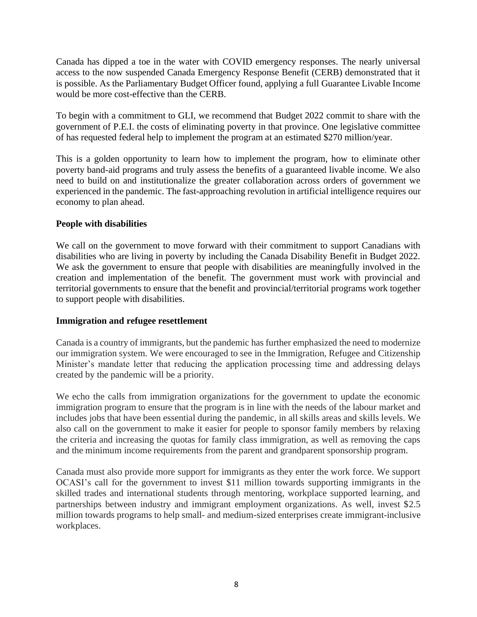Canada has dipped a toe in the water with COVID emergency responses. The nearly universal access to the now suspended Canada Emergency Response Benefit (CERB) demonstrated that it is possible. As the Parliamentary Budget Officer found, applying a full Guarantee Livable Income would be more cost-effective than the CERB.

To begin with a commitment to GLI, we recommend that Budget 2022 commit to share with the government of P.E.I. the costs of eliminating poverty in that province. One legislative committee of has requested federal help to implement the program at an estimated \$270 million/year.

This is a golden opportunity to learn how to implement the program, how to eliminate other poverty band-aid programs and truly assess the benefits of a guaranteed livable income. We also need to build on and institutionalize the greater collaboration across orders of government we experienced in the pandemic. The fast-approaching revolution in artificial intelligence requires our economy to plan ahead.

### **People with disabilities**

We call on the government to move forward with their commitment to support Canadians with disabilities who are living in poverty by including the Canada Disability Benefit in Budget 2022. We ask the government to ensure that people with disabilities are meaningfully involved in the creation and implementation of the benefit. The government must work with provincial and territorial governments to ensure that the benefit and provincial/territorial programs work together to support people with disabilities.

### **Immigration and refugee resettlement**

Canada is a country of immigrants, but the pandemic has further emphasized the need to modernize our immigration system. We were encouraged to see in the Immigration, Refugee and Citizenship Minister's mandate letter that reducing the application processing time and addressing delays created by the pandemic will be a priority.

We echo the calls from immigration organizations for the government to update the economic immigration program to ensure that the program is in line with the needs of the labour market and includes jobs that have been essential during the pandemic, in all skills areas and skills levels. We also call on the government to make it easier for people to sponsor family members by relaxing the criteria and increasing the quotas for family class immigration, as well as removing the caps and the minimum income requirements from the parent and grandparent sponsorship program.

Canada must also provide more support for immigrants as they enter the work force. We support OCASI's call for the government to invest \$11 million towards supporting immigrants in the skilled trades and international students through mentoring, workplace supported learning, and partnerships between industry and immigrant employment organizations. As well, invest \$2.5 million towards programs to help small- and medium-sized enterprises create immigrant-inclusive workplaces.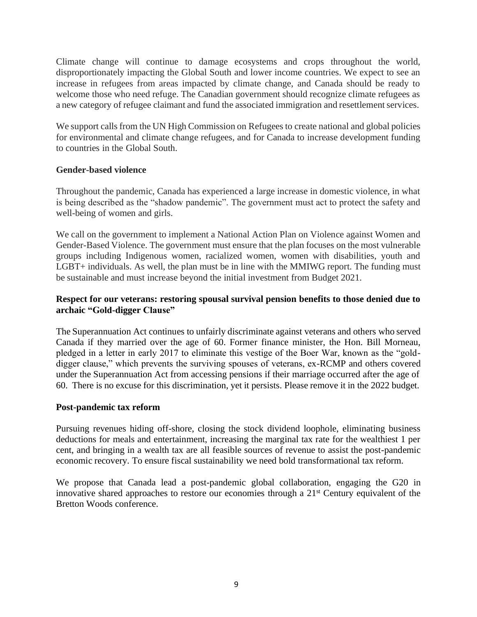Climate change will continue to damage ecosystems and crops throughout the world, disproportionately impacting the Global South and lower income countries. We expect to see an increase in refugees from areas impacted by climate change, and Canada should be ready to welcome those who need refuge. The Canadian government should recognize climate refugees as a new category of refugee claimant and fund the associated immigration and resettlement services.

We support calls from the UN High Commission on Refugees to create national and global policies for environmental and climate change refugees, and for Canada to increase development funding to countries in the Global South.

### **Gender-based violence**

Throughout the pandemic, Canada has experienced a large increase in domestic violence, in what is being described as the "shadow pandemic". The government must act to protect the safety and well-being of women and girls.

We call on the government to implement a National Action Plan on Violence against Women and Gender-Based Violence. The government must ensure that the plan focuses on the most vulnerable groups including Indigenous women, racialized women, women with disabilities, youth and LGBT+ individuals. As well, the plan must be in line with the MMIWG report. The funding must be sustainable and must increase beyond the initial investment from Budget 2021.

## **Respect for our veterans: restoring spousal survival pension benefits to those denied due to archaic "Gold-digger Clause"**

The Superannuation Act continues to unfairly discriminate against veterans and others who served Canada if they married over the age of 60. Former finance minister, the Hon. Bill Morneau, pledged in a letter in early 2017 to eliminate this vestige of the Boer War, known as the "golddigger clause," which prevents the surviving spouses of veterans, ex-RCMP and others covered under the Superannuation Act from accessing pensions if their marriage occurred after the age of 60. There is no excuse for this discrimination, yet it persists. Please remove it in the 2022 budget.

### **Post-pandemic tax reform**

Pursuing revenues hiding off-shore, closing the stock dividend loophole, eliminating business deductions for meals and entertainment, increasing the marginal tax rate for the wealthiest 1 per cent, and bringing in a wealth tax are all feasible sources of revenue to assist the post-pandemic economic recovery. To ensure fiscal sustainability we need bold transformational tax reform.

We propose that Canada lead a post-pandemic global collaboration, engaging the G20 in innovative shared approaches to restore our economies through a 21<sup>st</sup> Century equivalent of the Bretton Woods conference.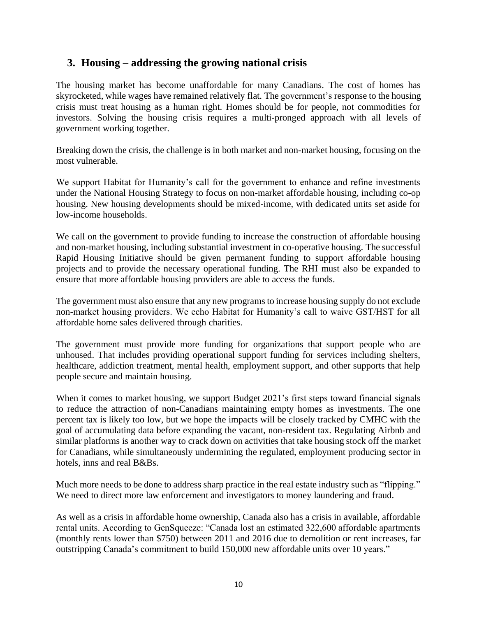## **3. Housing – addressing the growing national crisis**

The housing market has become unaffordable for many Canadians. The cost of homes has skyrocketed, while wages have remained relatively flat. The government's response to the housing crisis must treat housing as a human right. Homes should be for people, not commodities for investors. Solving the housing crisis requires a multi-pronged approach with all levels of government working together.

Breaking down the crisis, the challenge is in both market and non-market housing, focusing on the most vulnerable.

We support Habitat for Humanity's call for the government to enhance and refine investments under the National Housing Strategy to focus on non-market affordable housing, including co-op housing. New housing developments should be mixed-income, with dedicated units set aside for low-income households.

We call on the government to provide funding to increase the construction of affordable housing and non-market housing, including substantial investment in co-operative housing. The successful Rapid Housing Initiative should be given permanent funding to support affordable housing projects and to provide the necessary operational funding. The RHI must also be expanded to ensure that more affordable housing providers are able to access the funds.

The government must also ensure that any new programs to increase housing supply do not exclude non-market housing providers. We echo Habitat for Humanity's call to waive GST/HST for all affordable home sales delivered through charities.

The government must provide more funding for organizations that support people who are unhoused. That includes providing operational support funding for services including shelters, healthcare, addiction treatment, mental health, employment support, and other supports that help people secure and maintain housing.

When it comes to market housing, we support Budget 2021's first steps toward financial signals to reduce the attraction of non-Canadians maintaining empty homes as investments. The one percent tax is likely too low, but we hope the impacts will be closely tracked by CMHC with the goal of accumulating data before expanding the vacant, non-resident tax. Regulating Airbnb and similar platforms is another way to crack down on activities that take housing stock off the market for Canadians, while simultaneously undermining the regulated, employment producing sector in hotels, inns and real B&Bs.

Much more needs to be done to address sharp practice in the real estate industry such as "flipping." We need to direct more law enforcement and investigators to money laundering and fraud.

As well as a crisis in affordable home ownership, Canada also has a crisis in available, affordable rental units. According to GenSqueeze: "Canada lost an estimated 322,600 affordable apartments (monthly rents lower than \$750) between 2011 and 2016 due to demolition or rent increases, far outstripping Canada's commitment to build 150,000 new affordable units over 10 years."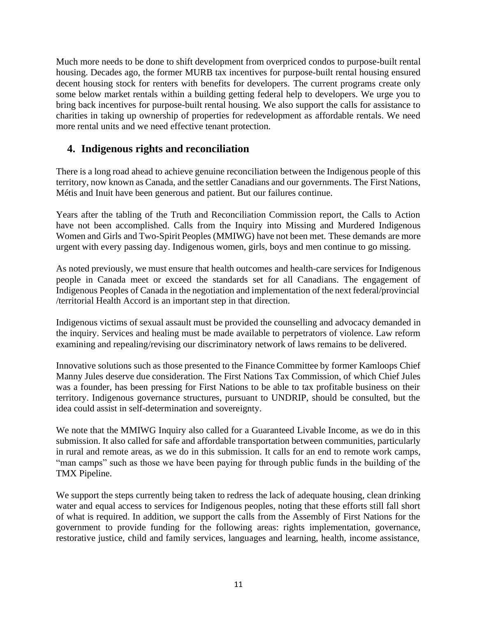Much more needs to be done to shift development from overpriced condos to purpose-built rental housing. Decades ago, the former MURB tax incentives for purpose-built rental housing ensured decent housing stock for renters with benefits for developers. The current programs create only some below market rentals within a building getting federal help to developers. We urge you to bring back incentives for purpose-built rental housing. We also support the calls for assistance to charities in taking up ownership of properties for redevelopment as affordable rentals. We need more rental units and we need effective tenant protection.

## **4. Indigenous rights and reconciliation**

There is a long road ahead to achieve genuine reconciliation between the Indigenous people of this territory, now known as Canada, and the settler Canadians and our governments. The First Nations, Métis and Inuit have been generous and patient. But our failures continue.

Years after the tabling of the Truth and Reconciliation Commission report, the Calls to Action have not been accomplished. Calls from the Inquiry into Missing and Murdered Indigenous Women and Girls and Two-Spirit Peoples (MMIWG) have not been met. These demands are more urgent with every passing day. Indigenous women, girls, boys and men continue to go missing.

As noted previously, we must ensure that health outcomes and health-care services for Indigenous people in Canada meet or exceed the standards set for all Canadians. The engagement of Indigenous Peoples of Canada in the negotiation and implementation of the next federal/provincial /territorial Health Accord is an important step in that direction.

Indigenous victims of sexual assault must be provided the counselling and advocacy demanded in the inquiry. Services and healing must be made available to perpetrators of violence. Law reform examining and repealing/revising our discriminatory network of laws remains to be delivered.

Innovative solutions such as those presented to the Finance Committee by former Kamloops Chief Manny Jules deserve due consideration. The First Nations Tax Commission, of which Chief Jules was a founder, has been pressing for First Nations to be able to tax profitable business on their territory. Indigenous governance structures, pursuant to UNDRIP, should be consulted, but the idea could assist in self-determination and sovereignty.

We note that the MMIWG Inquiry also called for a Guaranteed Livable Income, as we do in this submission. It also called for safe and affordable transportation between communities, particularly in rural and remote areas, as we do in this submission. It calls for an end to remote work camps, "man camps" such as those we have been paying for through public funds in the building of the TMX Pipeline.

We support the steps currently being taken to redress the lack of adequate housing, clean drinking water and equal access to services for Indigenous peoples, noting that these efforts still fall short of what is required. In addition, we support the calls from the Assembly of First Nations for the government to provide funding for the following areas: rights implementation, governance, restorative justice, child and family services, languages and learning, health, income assistance,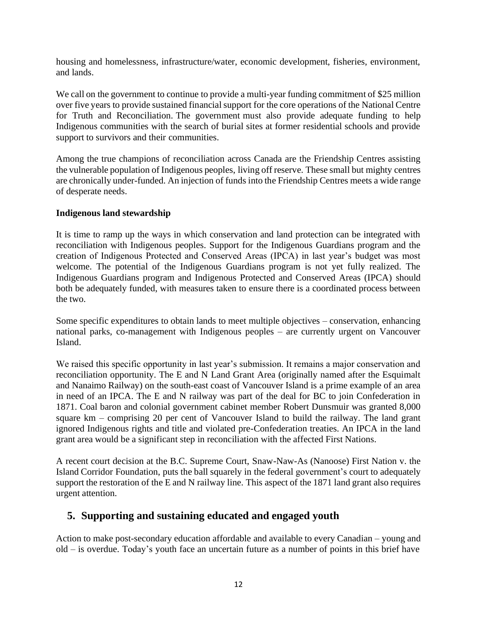housing and homelessness, infrastructure/water, economic development, fisheries, environment, and lands.

We call on the government to continue to provide a multi-year funding commitment of \$25 million over five years to provide sustained financial support for the core operations of the National Centre for Truth and Reconciliation. The government must also provide adequate funding to help Indigenous communities with the search of burial sites at former residential schools and provide support to survivors and their communities.

Among the true champions of reconciliation across Canada are the Friendship Centres assisting the vulnerable population of Indigenous peoples, living off reserve. These small but mighty centres are chronically under-funded. An injection of funds into the Friendship Centres meets a wide range of desperate needs.

### **Indigenous land stewardship**

It is time to ramp up the ways in which conservation and land protection can be integrated with reconciliation with Indigenous peoples. Support for the Indigenous Guardians program and the creation of Indigenous Protected and Conserved Areas (IPCA) in last year's budget was most welcome. The potential of the Indigenous Guardians program is not yet fully realized. The Indigenous Guardians program and Indigenous Protected and Conserved Areas (IPCA) should both be adequately funded, with measures taken to ensure there is a coordinated process between the two.

Some specific expenditures to obtain lands to meet multiple objectives – conservation, enhancing national parks, co-management with Indigenous peoples – are currently urgent on Vancouver Island.

We raised this specific opportunity in last year's submission. It remains a major conservation and reconciliation opportunity. The E and N Land Grant Area (originally named after the Esquimalt and Nanaimo Railway) on the south-east coast of Vancouver Island is a prime example of an area in need of an IPCA. The E and N railway was part of the deal for BC to join Confederation in 1871. Coal baron and colonial government cabinet member Robert Dunsmuir was granted 8,000 square km – comprising 20 per cent of Vancouver Island to build the railway. The land grant ignored Indigenous rights and title and violated pre-Confederation treaties. An IPCA in the land grant area would be a significant step in reconciliation with the affected First Nations.

A recent court decision at the B.C. Supreme Court, Snaw-Naw-As (Nanoose) First Nation v. the Island Corridor Foundation, puts the ball squarely in the federal government's court to adequately support the restoration of the E and N railway line. This aspect of the 1871 land grant also requires urgent attention.

## **5. Supporting and sustaining educated and engaged youth**

Action to make post-secondary education affordable and available to every Canadian – young and old – is overdue. Today's youth face an uncertain future as a number of points in this brief have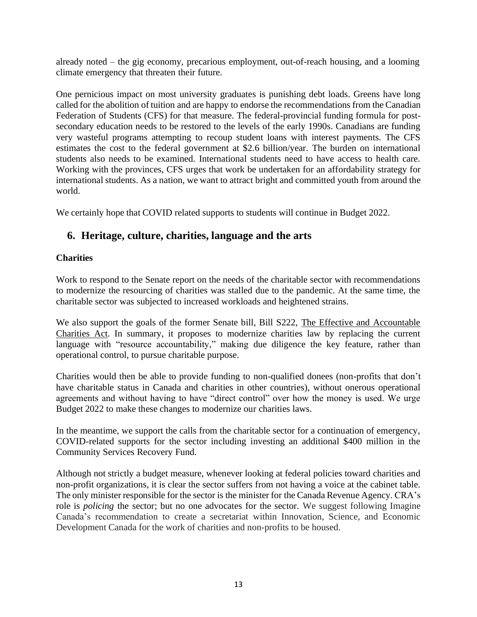already noted – the gig economy, precarious employment, out-of-reach housing, and a looming climate emergency that threaten their future.

One pernicious impact on most university graduates is punishing debt loads. Greens have long called for the abolition of tuition and are happy to endorse the recommendations from the Canadian Federation of Students (CFS) for that measure. The federal-provincial funding formula for postsecondary education needs to be restored to the levels of the early 1990s. Canadians are funding very wasteful programs attempting to recoup student loans with interest payments. The CFS estimates the cost to the federal government at \$2.6 billion/year. The burden on international students also needs to be examined. International students need to have access to health care. Working with the provinces, CFS urges that work be undertaken for an affordability strategy for international students. As a nation, we want to attract bright and committed youth from around the world.

We certainly hope that COVID related supports to students will continue in Budget 2022.

## **6. Heritage, culture, charities, language and the arts**

### **Charities**

Work to respond to the Senate report on the needs of the charitable sector with recommendations to modernize the resourcing of charities was stalled due to the pandemic. At the same time, the charitable sector was subjected to increased workloads and heightened strains.

We also support the goals of the former Senate bill, Bill S222, The Effective and Accountable Charities Act. In summary, it proposes to modernize charities law by replacing the current language with "resource accountability," making due diligence the key feature, rather than operational control, to pursue charitable purpose.

Charities would then be able to provide funding to non-qualified donees (non-profits that don't have charitable status in Canada and charities in other countries), without onerous operational agreements and without having to have "direct control" over how the money is used. We urge Budget 2022 to make these changes to modernize our charities laws.

In the meantime, we support the calls from the charitable sector for a continuation of emergency, COVID-related supports for the sector including investing an additional \$400 million in the Community Services Recovery Fund.

Although not strictly a budget measure, whenever looking at federal policies toward charities and non-profit organizations, it is clear the sector suffers from not having a voice at the cabinet table. The only minister responsible for the sector is the minister for the Canada Revenue Agency. CRA's role is *policing* the sector; but no one advocates for the sector. We suggest following Imagine Canada's recommendation to create a secretariat within Innovation, Science, and Economic Development Canada for the work of charities and non-profits to be housed.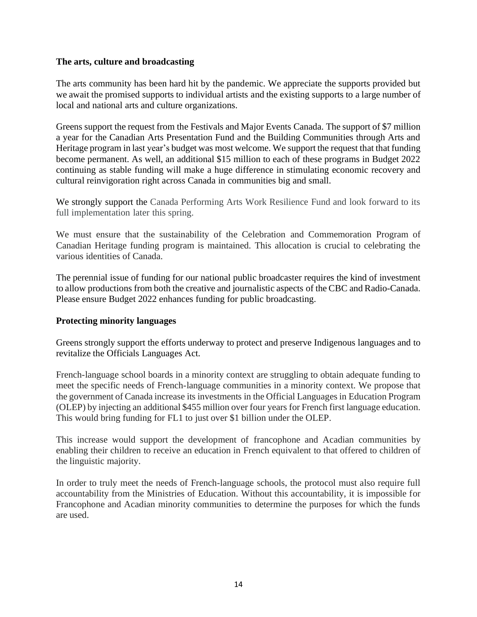### **The arts, culture and broadcasting**

The arts community has been hard hit by the pandemic. We appreciate the supports provided but we await the promised supports to individual artists and the existing supports to a large number of local and national arts and culture organizations.

Greens support the request from the Festivals and Major Events Canada. The support of \$7 million a year for the Canadian Arts Presentation Fund and the Building Communities through Arts and Heritage program in last year's budget was most welcome. We support the request that that funding become permanent. As well, an additional \$15 million to each of these programs in Budget 2022 continuing as stable funding will make a huge difference in stimulating economic recovery and cultural reinvigoration right across Canada in communities big and small.

We strongly support the Canada Performing Arts Work Resilience Fund and look forward to its full implementation later this spring.

We must ensure that the sustainability of the Celebration and Commemoration Program of Canadian Heritage funding program is maintained. This allocation is crucial to celebrating the various identities of Canada.

The perennial issue of funding for our national public broadcaster requires the kind of investment to allow productions from both the creative and journalistic aspects of the CBC and Radio-Canada. Please ensure Budget 2022 enhances funding for public broadcasting.

### **Protecting minority languages**

Greens strongly support the efforts underway to protect and preserve Indigenous languages and to revitalize the Officials Languages Act.

French-language school boards in a minority context are struggling to obtain adequate funding to meet the specific needs of French-language communities in a minority context. We propose that the government of Canada increase its investments in the Official Languages in Education Program (OLEP) by injecting an additional \$455 million over four years for French first language education. This would bring funding for FL1 to just over \$1 billion under the OLEP.

This increase would support the development of francophone and Acadian communities by enabling their children to receive an education in French equivalent to that offered to children of the linguistic majority.

In order to truly meet the needs of French-language schools, the protocol must also require full accountability from the Ministries of Education. Without this accountability, it is impossible for Francophone and Acadian minority communities to determine the purposes for which the funds are used.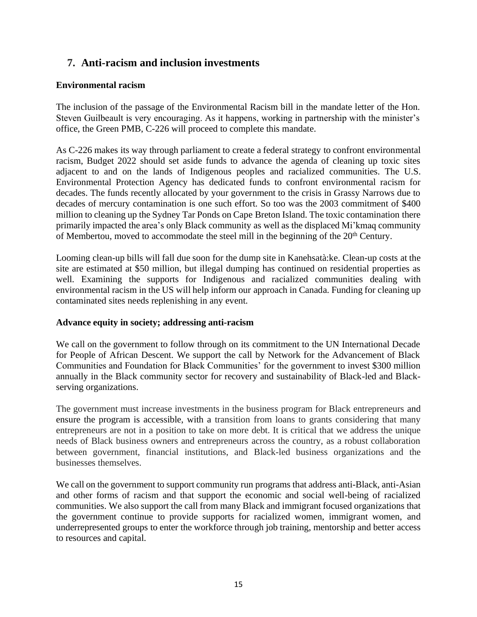# **7. Anti-racism and inclusion investments**

## **Environmental racism**

The inclusion of the passage of the Environmental Racism bill in the mandate letter of the Hon. Steven Guilbeault is very encouraging. As it happens, working in partnership with the minister's office, the Green PMB, C-226 will proceed to complete this mandate.

As C-226 makes its way through parliament to create a federal strategy to confront environmental racism, Budget 2022 should set aside funds to advance the agenda of cleaning up toxic sites adjacent to and on the lands of Indigenous peoples and racialized communities. The U.S. Environmental Protection Agency has dedicated funds to confront environmental racism for decades. The funds recently allocated by your government to the crisis in Grassy Narrows due to decades of mercury contamination is one such effort. So too was the 2003 commitment of \$400 million to cleaning up the Sydney Tar Ponds on Cape Breton Island. The toxic contamination there primarily impacted the area's only Black community as well as the displaced Mi'kmaq community of Membertou, moved to accommodate the steel mill in the beginning of the 20<sup>th</sup> Century.

Looming clean-up bills will fall due soon for the dump site in Kanehsatà:ke. Clean-up costs at the site are estimated at \$50 million, but illegal dumping has continued on residential properties as well. Examining the supports for Indigenous and racialized communities dealing with environmental racism in the US will help inform our approach in Canada. Funding for cleaning up contaminated sites needs replenishing in any event.

## **Advance equity in society; addressing anti-racism**

We call on the government to follow through on its commitment to the UN International Decade for People of African Descent. We support the call by Network for the Advancement of Black Communities and Foundation for Black Communities' for the government to invest \$300 million annually in the Black community sector for recovery and sustainability of Black-led and Blackserving organizations.

The government must increase investments in the business program for Black entrepreneurs and ensure the program is accessible, with a transition from loans to grants considering that many entrepreneurs are not in a position to take on more debt. It is critical that we address the unique needs of Black business owners and entrepreneurs across the country, as a robust collaboration between government, financial institutions, and Black-led business organizations and the businesses themselves.

We call on the government to support community run programs that address anti-Black, anti-Asian and other forms of racism and that support the economic and social well-being of racialized communities. We also support the call from many Black and immigrant focused organizations that the government continue to provide supports for racialized women, immigrant women, and underrepresented groups to enter the workforce through job training, mentorship and better access to resources and capital.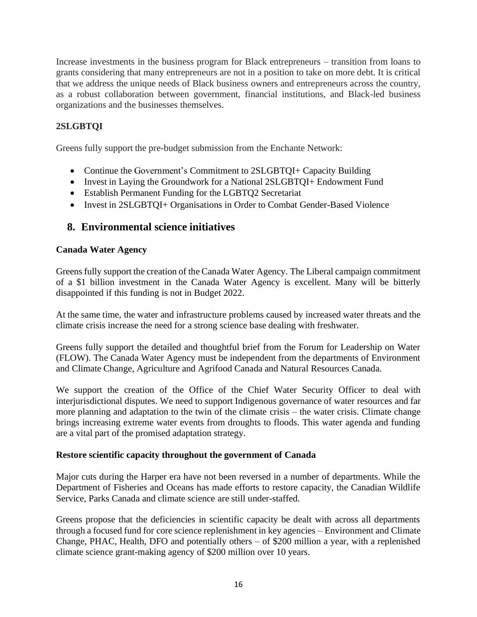Increase investments in the business program for Black entrepreneurs – transition from loans to grants considering that many entrepreneurs are not in a position to take on more debt. It is critical that we address the unique needs of Black business owners and entrepreneurs across the country, as a robust collaboration between government, financial institutions, and Black-led business organizations and the businesses themselves.

## **2SLGBTQI**

Greens fully support the pre-budget submission from the Enchante Network:

- Continue the Government's Commitment to 2SLGBTQI+ Capacity Building
- Invest in Laying the Groundwork for a National 2SLGBTQI+ Endowment Fund
- Establish Permanent Funding for the LGBTQ2 Secretariat
- Invest in 2SLGBTQI+ Organisations in Order to Combat Gender-Based Violence

## **8. Environmental science initiatives**

### **Canada Water Agency**

Greens fully support the creation of the Canada Water Agency. The Liberal campaign commitment of a \$1 billion investment in the Canada Water Agency is excellent. Many will be bitterly disappointed if this funding is not in Budget 2022.

At the same time, the water and infrastructure problems caused by increased water threats and the climate crisis increase the need for a strong science base dealing with freshwater.

Greens fully support the detailed and thoughtful brief from the Forum for Leadership on Water (FLOW). The Canada Water Agency must be independent from the departments of Environment and Climate Change, Agriculture and Agrifood Canada and Natural Resources Canada.

We support the creation of the Office of the Chief Water Security Officer to deal with interjurisdictional disputes. We need to support Indigenous governance of water resources and far more planning and adaptation to the twin of the climate crisis – the water crisis. Climate change brings increasing extreme water events from droughts to floods. This water agenda and funding are a vital part of the promised adaptation strategy.

### **Restore scientific capacity throughout the government of Canada**

Major cuts during the Harper era have not been reversed in a number of departments. While the Department of Fisheries and Oceans has made efforts to restore capacity, the Canadian Wildlife Service, Parks Canada and climate science are still under-staffed.

Greens propose that the deficiencies in scientific capacity be dealt with across all departments through a focused fund for core science replenishment in key agencies – Environment and Climate Change, PHAC, Health, DFO and potentially others – of \$200 million a year, with a replenished climate science grant-making agency of \$200 million over 10 years.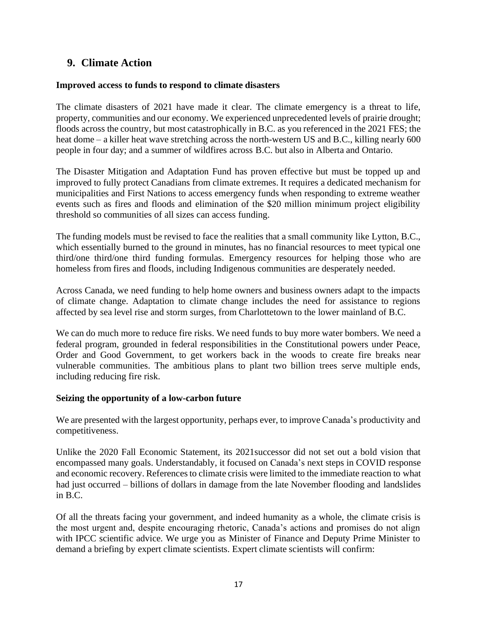## **9. Climate Action**

### **Improved access to funds to respond to climate disasters**

The climate disasters of 2021 have made it clear. The climate emergency is a threat to life, property, communities and our economy. We experienced unprecedented levels of prairie drought; floods across the country, but most catastrophically in B.C. as you referenced in the 2021 FES; the heat dome – a killer heat wave stretching across the north-western US and B.C., killing nearly 600 people in four day; and a summer of wildfires across B.C. but also in Alberta and Ontario.

The Disaster Mitigation and Adaptation Fund has proven effective but must be topped up and improved to fully protect Canadians from climate extremes. It requires a dedicated mechanism for municipalities and First Nations to access emergency funds when responding to extreme weather events such as fires and floods and elimination of the \$20 million minimum project eligibility threshold so communities of all sizes can access funding.

The funding models must be revised to face the realities that a small community like Lytton, B.C., which essentially burned to the ground in minutes, has no financial resources to meet typical one third/one third/one third funding formulas. Emergency resources for helping those who are homeless from fires and floods, including Indigenous communities are desperately needed.

Across Canada, we need funding to help home owners and business owners adapt to the impacts of climate change. Adaptation to climate change includes the need for assistance to regions affected by sea level rise and storm surges, from Charlottetown to the lower mainland of B.C.

We can do much more to reduce fire risks. We need funds to buy more water bombers. We need a federal program, grounded in federal responsibilities in the Constitutional powers under Peace, Order and Good Government, to get workers back in the woods to create fire breaks near vulnerable communities. The ambitious plans to plant two billion trees serve multiple ends, including reducing fire risk.

### **Seizing the opportunity of a low-carbon future**

We are presented with the largest opportunity, perhaps ever, to improve Canada's productivity and competitiveness.

Unlike the 2020 Fall Economic Statement, its 2021successor did not set out a bold vision that encompassed many goals. Understandably, it focused on Canada's next steps in COVID response and economic recovery. References to climate crisis were limited to the immediate reaction to what had just occurred – billions of dollars in damage from the late November flooding and landslides in B.C.

Of all the threats facing your government, and indeed humanity as a whole, the climate crisis is the most urgent and, despite encouraging rhetoric, Canada's actions and promises do not align with IPCC scientific advice. We urge you as Minister of Finance and Deputy Prime Minister to demand a briefing by expert climate scientists. Expert climate scientists will confirm: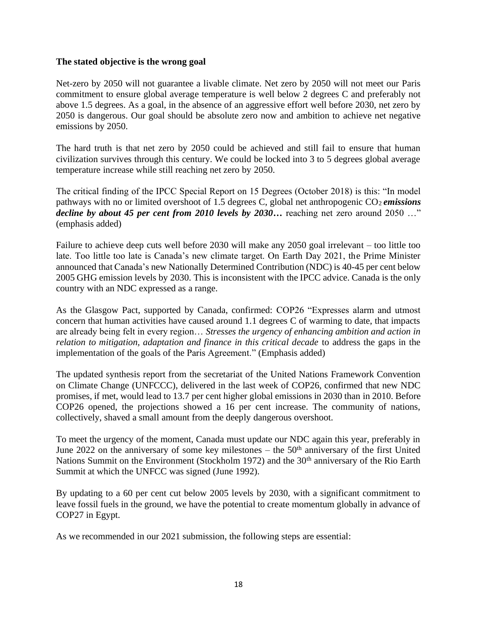### **The stated objective is the wrong goal**

Net-zero by 2050 will not guarantee a livable climate. Net zero by 2050 will not meet our Paris commitment to ensure global average temperature is well below 2 degrees C and preferably not above 1.5 degrees. As a goal, in the absence of an aggressive effort well before 2030, net zero by 2050 is dangerous. Our goal should be absolute zero now and ambition to achieve net negative emissions by 2050.

The hard truth is that net zero by 2050 could be achieved and still fail to ensure that human civilization survives through this century. We could be locked into 3 to 5 degrees global average temperature increase while still reaching net zero by 2050.

The critical finding of the IPCC Special Report on 15 Degrees (October 2018) is this: "In model pathways with no or limited overshoot of 1.5 degrees C, global net anthropogenic CO<sub>2</sub> emissions *decline by about 45 per cent from 2010 levels by 2030*... reaching net zero around 2050 ..." (emphasis added)

Failure to achieve deep cuts well before 2030 will make any 2050 goal irrelevant – too little too late. Too little too late is Canada's new climate target. On Earth Day 2021, the Prime Minister announced that Canada's new Nationally Determined Contribution (NDC) is 40-45 per cent below 2005 GHG emission levels by 2030. This is inconsistent with the IPCC advice. Canada is the only country with an NDC expressed as a range.

As the Glasgow Pact, supported by Canada, confirmed: COP26 "Expresses alarm and utmost concern that human activities have caused around 1.1 degrees C of warming to date, that impacts are already being felt in every region… *Stresses the urgency of enhancing ambition and action in relation to mitigation, adaptation and finance in this critical decade* to address the gaps in the implementation of the goals of the Paris Agreement." (Emphasis added)

The updated synthesis report from the secretariat of the United Nations Framework Convention on Climate Change (UNFCCC), delivered in the last week of COP26, confirmed that new NDC promises, if met, would lead to 13.7 per cent higher global emissions in 2030 than in 2010. Before COP26 opened, the projections showed a 16 per cent increase. The community of nations, collectively, shaved a small amount from the deeply dangerous overshoot.

To meet the urgency of the moment, Canada must update our NDC again this year, preferably in June 2022 on the anniversary of some key milestones – the  $50<sup>th</sup>$  anniversary of the first United Nations Summit on the Environment (Stockholm 1972) and the 30<sup>th</sup> anniversary of the Rio Earth Summit at which the UNFCC was signed (June 1992).

By updating to a 60 per cent cut below 2005 levels by 2030, with a significant commitment to leave fossil fuels in the ground, we have the potential to create momentum globally in advance of COP27 in Egypt.

As we recommended in our 2021 submission, the following steps are essential: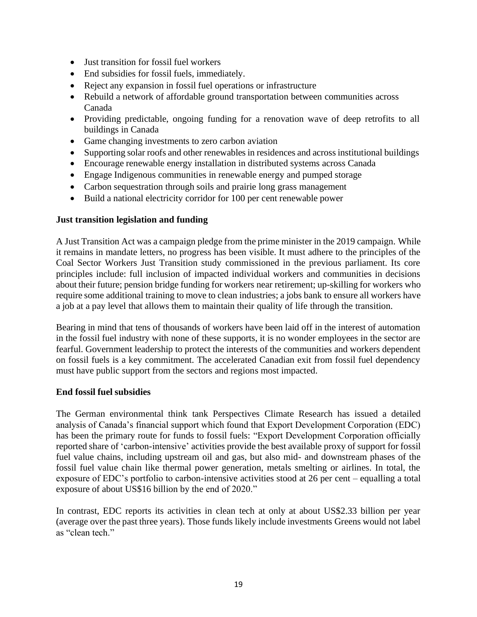- Just transition for fossil fuel workers
- End subsidies for fossil fuels, immediately.
- Reject any expansion in fossil fuel operations or infrastructure
- Rebuild a network of affordable ground transportation between communities across Canada
- Providing predictable, ongoing funding for a renovation wave of deep retrofits to all buildings in Canada
- Game changing investments to zero carbon aviation
- Supporting solar roofs and other renewables in residences and across institutional buildings
- Encourage renewable energy installation in distributed systems across Canada
- Engage Indigenous communities in renewable energy and pumped storage
- Carbon sequestration through soils and prairie long grass management
- Build a national electricity corridor for 100 per cent renewable power

### **Just transition legislation and funding**

A Just Transition Act was a campaign pledge from the prime minister in the 2019 campaign. While it remains in mandate letters, no progress has been visible. It must adhere to the principles of the Coal Sector Workers Just Transition study commissioned in the previous parliament. Its core principles include: full inclusion of impacted individual workers and communities in decisions about their future; pension bridge funding for workers near retirement; up-skilling for workers who require some additional training to move to clean industries; a jobs bank to ensure all workers have a job at a pay level that allows them to maintain their quality of life through the transition.

Bearing in mind that tens of thousands of workers have been laid off in the interest of automation in the fossil fuel industry with none of these supports, it is no wonder employees in the sector are fearful. Government leadership to protect the interests of the communities and workers dependent on fossil fuels is a key commitment. The accelerated Canadian exit from fossil fuel dependency must have public support from the sectors and regions most impacted.

### **End fossil fuel subsidies**

The German environmental think tank Perspectives Climate Research has issued a detailed analysis of Canada's financial support which found that Export Development Corporation (EDC) has been the primary route for funds to fossil fuels: "Export Development Corporation officially reported share of 'carbon-intensive' activities provide the best available proxy of support for fossil fuel value chains, including upstream oil and gas, but also mid- and downstream phases of the fossil fuel value chain like thermal power generation, metals smelting or airlines. In total, the exposure of EDC's portfolio to carbon-intensive activities stood at 26 per cent – equalling a total exposure of about US\$16 billion by the end of 2020."

In contrast, EDC reports its activities in clean tech at only at about US\$2.33 billion per year (average over the past three years). Those funds likely include investments Greens would not label as "clean tech."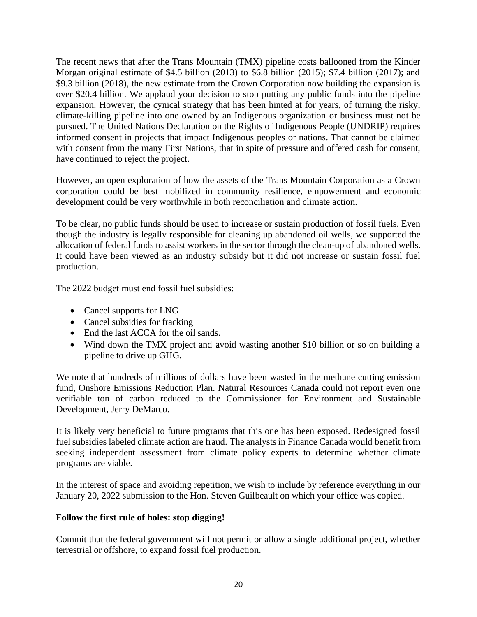The recent news that after the Trans Mountain (TMX) pipeline costs ballooned from the Kinder Morgan original estimate of \$4.5 billion (2013) to \$6.8 billion (2015); \$7.4 billion (2017); and \$9.3 billion (2018), the new estimate from the Crown Corporation now building the expansion is over \$20.4 billion. We applaud your decision to stop putting any public funds into the pipeline expansion. However, the cynical strategy that has been hinted at for years, of turning the risky, climate-killing pipeline into one owned by an Indigenous organization or business must not be pursued. The United Nations Declaration on the Rights of Indigenous People (UNDRIP) requires informed consent in projects that impact Indigenous peoples or nations. That cannot be claimed with consent from the many First Nations, that in spite of pressure and offered cash for consent, have continued to reject the project.

However, an open exploration of how the assets of the Trans Mountain Corporation as a Crown corporation could be best mobilized in community resilience, empowerment and economic development could be very worthwhile in both reconciliation and climate action.

To be clear, no public funds should be used to increase or sustain production of fossil fuels. Even though the industry is legally responsible for cleaning up abandoned oil wells, we supported the allocation of federal funds to assist workers in the sector through the clean-up of abandoned wells. It could have been viewed as an industry subsidy but it did not increase or sustain fossil fuel production.

The 2022 budget must end fossil fuel subsidies:

- Cancel supports for LNG
- Cancel subsidies for fracking
- End the last ACCA for the oil sands.
- Wind down the TMX project and avoid wasting another \$10 billion or so on building a pipeline to drive up GHG.

We note that hundreds of millions of dollars have been wasted in the methane cutting emission fund, Onshore Emissions Reduction Plan. Natural Resources Canada could not report even one verifiable ton of carbon reduced to the Commissioner for Environment and Sustainable Development, Jerry DeMarco.

It is likely very beneficial to future programs that this one has been exposed. Redesigned fossil fuel subsidies labeled climate action are fraud. The analysts in Finance Canada would benefit from seeking independent assessment from climate policy experts to determine whether climate programs are viable.

In the interest of space and avoiding repetition, we wish to include by reference everything in our January 20, 2022 submission to the Hon. Steven Guilbeault on which your office was copied.

### **Follow the first rule of holes: stop digging!**

Commit that the federal government will not permit or allow a single additional project, whether terrestrial or offshore, to expand fossil fuel production.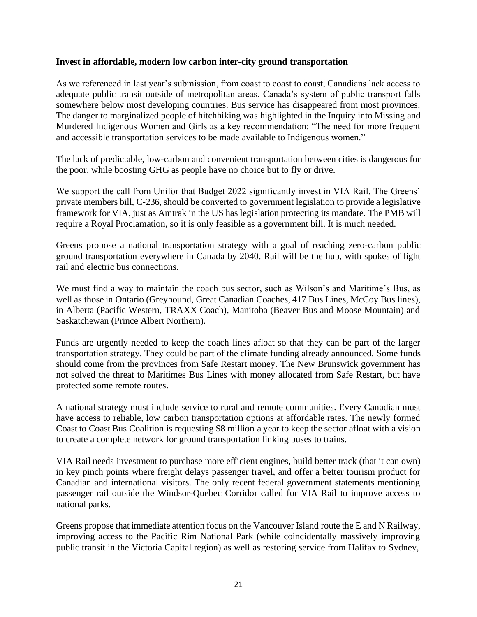#### **Invest in affordable, modern low carbon inter-city ground transportation**

As we referenced in last year's submission, from coast to coast to coast, Canadians lack access to adequate public transit outside of metropolitan areas. Canada's system of public transport falls somewhere below most developing countries. Bus service has disappeared from most provinces. The danger to marginalized people of hitchhiking was highlighted in the Inquiry into Missing and Murdered Indigenous Women and Girls as a key recommendation: "The need for more frequent and accessible transportation services to be made available to Indigenous women."

The lack of predictable, low-carbon and convenient transportation between cities is dangerous for the poor, while boosting GHG as people have no choice but to fly or drive.

We support the call from Unifor that Budget 2022 significantly invest in VIA Rail. The Greens' private members bill, C-236, should be converted to government legislation to provide a legislative framework for VIA, just as Amtrak in the US has legislation protecting its mandate. The PMB will require a Royal Proclamation, so it is only feasible as a government bill. It is much needed.

Greens propose a national transportation strategy with a goal of reaching zero-carbon public ground transportation everywhere in Canada by 2040. Rail will be the hub, with spokes of light rail and electric bus connections.

We must find a way to maintain the coach bus sector, such as Wilson's and Maritime's Bus, as well as those in Ontario (Greyhound, Great Canadian Coaches, 417 Bus Lines, McCoy Bus lines), in Alberta (Pacific Western, TRAXX Coach), Manitoba (Beaver Bus and Moose Mountain) and Saskatchewan (Prince Albert Northern).

Funds are urgently needed to keep the coach lines afloat so that they can be part of the larger transportation strategy. They could be part of the climate funding already announced. Some funds should come from the provinces from Safe Restart money. The New Brunswick government has not solved the threat to Maritimes Bus Lines with money allocated from Safe Restart, but have protected some remote routes.

A national strategy must include service to rural and remote communities. Every Canadian must have access to reliable, low carbon transportation options at affordable rates. The newly formed Coast to Coast Bus Coalition is requesting \$8 million a year to keep the sector afloat with a vision to create a complete network for ground transportation linking buses to trains.

VIA Rail needs investment to purchase more efficient engines, build better track (that it can own) in key pinch points where freight delays passenger travel, and offer a better tourism product for Canadian and international visitors. The only recent federal government statements mentioning passenger rail outside the Windsor-Quebec Corridor called for VIA Rail to improve access to national parks.

Greens propose that immediate attention focus on the Vancouver Island route the E and N Railway, improving access to the Pacific Rim National Park (while coincidentally massively improving public transit in the Victoria Capital region) as well as restoring service from Halifax to Sydney,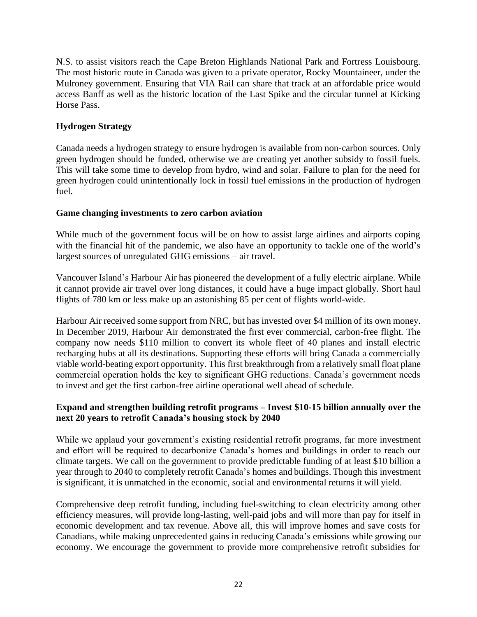N.S. to assist visitors reach the Cape Breton Highlands National Park and Fortress Louisbourg. The most historic route in Canada was given to a private operator, Rocky Mountaineer, under the Mulroney government. Ensuring that VIA Rail can share that track at an affordable price would access Banff as well as the historic location of the Last Spike and the circular tunnel at Kicking Horse Pass.

## **Hydrogen Strategy**

Canada needs a hydrogen strategy to ensure hydrogen is available from non-carbon sources. Only green hydrogen should be funded, otherwise we are creating yet another subsidy to fossil fuels. This will take some time to develop from hydro, wind and solar. Failure to plan for the need for green hydrogen could unintentionally lock in fossil fuel emissions in the production of hydrogen fuel.

### **Game changing investments to zero carbon aviation**

While much of the government focus will be on how to assist large airlines and airports coping with the financial hit of the pandemic, we also have an opportunity to tackle one of the world's largest sources of unregulated GHG emissions – air travel.

Vancouver Island's Harbour Air has pioneered the development of a fully electric airplane. While it cannot provide air travel over long distances, it could have a huge impact globally. Short haul flights of 780 km or less make up an astonishing 85 per cent of flights world-wide.

Harbour Air received some support from NRC, but has invested over \$4 million of its own money. In December 2019, Harbour Air demonstrated the first ever commercial, carbon-free flight. The company now needs \$110 million to convert its whole fleet of 40 planes and install electric recharging hubs at all its destinations. Supporting these efforts will bring Canada a commercially viable world-beating export opportunity. This first breakthrough from a relatively small float plane commercial operation holds the key to significant GHG reductions. Canada's government needs to invest and get the first carbon-free airline operational well ahead of schedule.

## **Expand and strengthen building retrofit programs – Invest \$10-15 billion annually over the next 20 years to retrofit Canada's housing stock by 2040**

While we applaud your government's existing residential retrofit programs, far more investment and effort will be required to decarbonize Canada's homes and buildings in order to reach our climate targets. We call on the government to provide predictable funding of at least \$10 billion a year through to 2040 to completely retrofit Canada's homes and buildings. Though this investment is significant, it is unmatched in the economic, social and environmental returns it will yield.

Comprehensive deep retrofit funding, including fuel-switching to clean electricity among other efficiency measures, will provide long-lasting, well-paid jobs and will more than pay for itself in economic development and tax revenue. Above all, this will improve homes and save costs for Canadians, while making unprecedented gains in reducing Canada's emissions while growing our economy. We encourage the government to provide more comprehensive retrofit subsidies for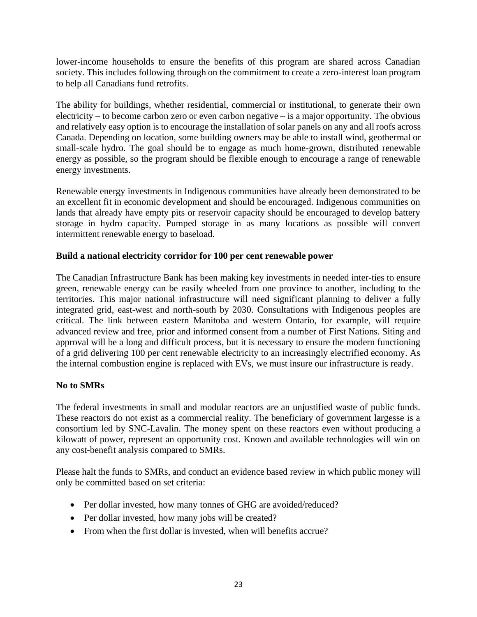lower-income households to ensure the benefits of this program are shared across Canadian society. This includes following through on the commitment to create a zero-interest loan program to help all Canadians fund retrofits.

The ability for buildings, whether residential, commercial or institutional, to generate their own electricity – to become carbon zero or even carbon negative – is a major opportunity. The obvious and relatively easy option is to encourage the installation of solar panels on any and all roofs across Canada. Depending on location, some building owners may be able to install wind, geothermal or small-scale hydro. The goal should be to engage as much home-grown, distributed renewable energy as possible, so the program should be flexible enough to encourage a range of renewable energy investments.

Renewable energy investments in Indigenous communities have already been demonstrated to be an excellent fit in economic development and should be encouraged. Indigenous communities on lands that already have empty pits or reservoir capacity should be encouraged to develop battery storage in hydro capacity. Pumped storage in as many locations as possible will convert intermittent renewable energy to baseload.

### **Build a national electricity corridor for 100 per cent renewable power**

The Canadian Infrastructure Bank has been making key investments in needed inter-ties to ensure green, renewable energy can be easily wheeled from one province to another, including to the territories. This major national infrastructure will need significant planning to deliver a fully integrated grid, east-west and north-south by 2030. Consultations with Indigenous peoples are critical. The link between eastern Manitoba and western Ontario, for example, will require advanced review and free, prior and informed consent from a number of First Nations. Siting and approval will be a long and difficult process, but it is necessary to ensure the modern functioning of a grid delivering 100 per cent renewable electricity to an increasingly electrified economy. As the internal combustion engine is replaced with EVs, we must insure our infrastructure is ready.

## **No to SMRs**

The federal investments in small and modular reactors are an unjustified waste of public funds. These reactors do not exist as a commercial reality. The beneficiary of government largesse is a consortium led by SNC-Lavalin. The money spent on these reactors even without producing a kilowatt of power, represent an opportunity cost. Known and available technologies will win on any cost-benefit analysis compared to SMRs.

Please halt the funds to SMRs, and conduct an evidence based review in which public money will only be committed based on set criteria:

- Per dollar invested, how many tonnes of GHG are avoided/reduced?
- Per dollar invested, how many jobs will be created?
- From when the first dollar is invested, when will benefits accrue?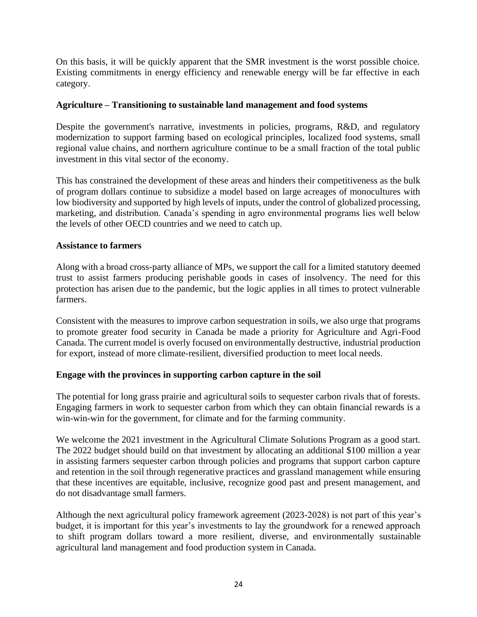On this basis, it will be quickly apparent that the SMR investment is the worst possible choice. Existing commitments in energy efficiency and renewable energy will be far effective in each category.

## **Agriculture – Transitioning to sustainable land management and food systems**

Despite the government's narrative, investments in policies, programs, R&D, and regulatory modernization to support farming based on ecological principles, localized food systems, small regional value chains, and northern agriculture continue to be a small fraction of the total public investment in this vital sector of the economy.

This has constrained the development of these areas and hinders their competitiveness as the bulk of program dollars continue to subsidize a model based on large acreages of monocultures with low biodiversity and supported by high levels of inputs, under the control of globalized processing, marketing, and distribution. Canada's spending in agro environmental programs lies well below the levels of other OECD countries and we need to catch up.

### **Assistance to farmers**

Along with a broad cross-party alliance of MPs, we support the call for a limited statutory deemed trust to assist farmers producing perishable goods in cases of insolvency. The need for this protection has arisen due to the pandemic, but the logic applies in all times to protect vulnerable farmers.

Consistent with the measures to improve carbon sequestration in soils, we also urge that programs to promote greater food security in Canada be made a priority for Agriculture and Agri-Food Canada. The current model is overly focused on environmentally destructive, industrial production for export, instead of more climate-resilient, diversified production to meet local needs.

## **Engage with the provinces in supporting carbon capture in the soil**

The potential for long grass prairie and agricultural soils to sequester carbon rivals that of forests. Engaging farmers in work to sequester carbon from which they can obtain financial rewards is a win-win-win for the government, for climate and for the farming community.

We welcome the 2021 investment in the Agricultural Climate Solutions Program as a good start. The 2022 budget should build on that investment by allocating an additional \$100 million a year in assisting farmers sequester carbon through policies and programs that support carbon capture and retention in the soil through regenerative practices and grassland management while ensuring that these incentives are equitable, inclusive, recognize good past and present management, and do not disadvantage small farmers.

Although the next agricultural policy framework agreement (2023-2028) is not part of this year's budget, it is important for this year's investments to lay the groundwork for a renewed approach to shift program dollars toward a more resilient, diverse, and environmentally sustainable agricultural land management and food production system in Canada.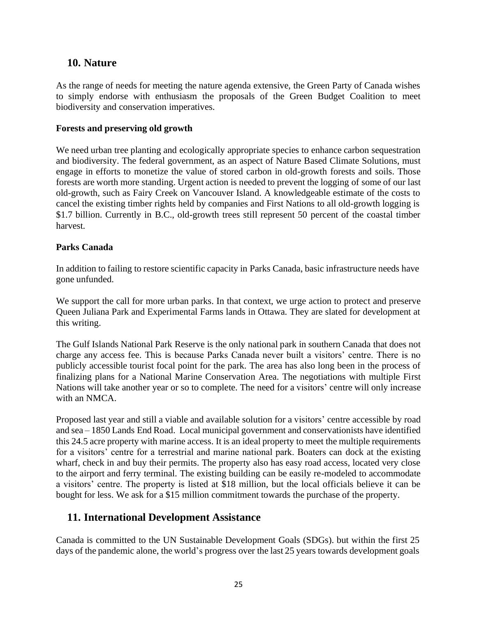## **10. Nature**

As the range of needs for meeting the nature agenda extensive, the Green Party of Canada wishes to simply endorse with enthusiasm the proposals of the Green Budget Coalition to meet biodiversity and conservation imperatives.

### **Forests and preserving old growth**

We need urban tree planting and ecologically appropriate species to enhance carbon sequestration and biodiversity. The federal government, as an aspect of Nature Based Climate Solutions, must engage in efforts to monetize the value of stored carbon in old-growth forests and soils. Those forests are worth more standing. Urgent action is needed to prevent the logging of some of our last old-growth, such as Fairy Creek on Vancouver Island. A knowledgeable estimate of the costs to cancel the existing timber rights held by companies and First Nations to all old-growth logging is \$1.7 billion. Currently in B.C., old-growth trees still represent 50 percent of the coastal timber harvest.

### **Parks Canada**

In addition to failing to restore scientific capacity in Parks Canada, basic infrastructure needs have gone unfunded.

We support the call for more urban parks. In that context, we urge action to protect and preserve Queen Juliana Park and Experimental Farms lands in Ottawa. They are slated for development at this writing.

The Gulf Islands National Park Reserve is the only national park in southern Canada that does not charge any access fee. This is because Parks Canada never built a visitors' centre. There is no publicly accessible tourist focal point for the park. The area has also long been in the process of finalizing plans for a National Marine Conservation Area. The negotiations with multiple First Nations will take another year or so to complete. The need for a visitors' centre will only increase with an NMCA.

Proposed last year and still a viable and available solution for a visitors' centre accessible by road and sea – 1850 Lands End Road. Local municipal government and conservationists have identified this 24.5 acre property with marine access. It is an ideal property to meet the multiple requirements for a visitors' centre for a terrestrial and marine national park. Boaters can dock at the existing wharf, check in and buy their permits. The property also has easy road access, located very close to the airport and ferry terminal. The existing building can be easily re-modeled to accommodate a visitors' centre. The property is listed at \$18 million, but the local officials believe it can be bought for less. We ask for a \$15 million commitment towards the purchase of the property.

## **11. International Development Assistance**

Canada is committed to the UN Sustainable Development Goals (SDGs). but within the first 25 days of the pandemic alone, the world's progress over the last 25 years towards development goals